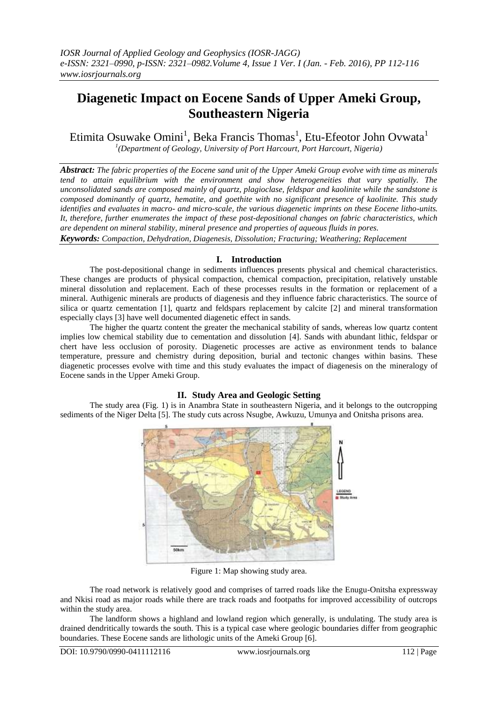# **Diagenetic Impact on Eocene Sands of Upper Ameki Group, Southeastern Nigeria**

Etimita Osuwake Omini<sup>1</sup>, Beka Francis Thomas<sup>1</sup>, Etu-Efeotor John Ovwata<sup>1</sup> *1 (Department of Geology, University of Port Harcourt, Port Harcourt, Nigeria)*

*Abstract: The fabric properties of the Eocene sand unit of the Upper Ameki Group evolve with time as minerals tend to attain equilibrium with the environment and show heterogeneities that vary spatially. The unconsolidated sands are composed mainly of quartz, plagioclase, feldspar and kaolinite while the sandstone is composed dominantly of quartz, hematite, and goethite with no significant presence of kaolinite. This study identifies and evaluates in macro- and micro-scale, the various diagenetic imprints on these Eocene litho-units. It, therefore, further enumerates the impact of these post-depositional changes on fabric characteristics, which are dependent on mineral stability, mineral presence and properties of aqueous fluids in pores.*

*Keywords: Compaction, Dehydration, Diagenesis, Dissolution; Fracturing; Weathering; Replacement*

## **I. Introduction**

The post-depositional change in sediments influences presents physical and chemical characteristics. These changes are products of physical compaction, chemical compaction, precipitation, relatively unstable mineral dissolution and replacement. Each of these processes results in the formation or replacement of a mineral. Authigenic minerals are products of diagenesis and they influence fabric characteristics. The source of silica or quartz cementation [1], quartz and feldspars replacement by calcite [2] and mineral transformation especially clays [3] have well documented diagenetic effect in sands.

The higher the quartz content the greater the mechanical stability of sands, whereas low quartz content implies low chemical stability due to cementation and dissolution [4]. Sands with abundant lithic, feldspar or chert have less occlusion of porosity. Diagenetic processes are active as environment tends to balance temperature, pressure and chemistry during deposition, burial and tectonic changes within basins. These diagenetic processes evolve with time and this study evaluates the impact of diagenesis on the mineralogy of Eocene sands in the Upper Ameki Group.

# **II. Study Area and Geologic Setting**

The study area (Fig. 1) is in Anambra State in southeastern Nigeria, and it belongs to the outcropping sediments of the Niger Delta [5]. The study cuts across Nsugbe, Awkuzu, Umunya and Onitsha prisons area.



Figure 1: Map showing study area.

The road network is relatively good and comprises of tarred roads like the Enugu-Onitsha expressway and Nkisi road as major roads while there are track roads and footpaths for improved accessibility of outcrops within the study area.

The landform shows a highland and lowland region which generally, is undulating. The study area is drained dendritically towards the south. This is a typical case where geologic boundaries differ from geographic boundaries. These Eocene sands are lithologic units of the Ameki Group [6].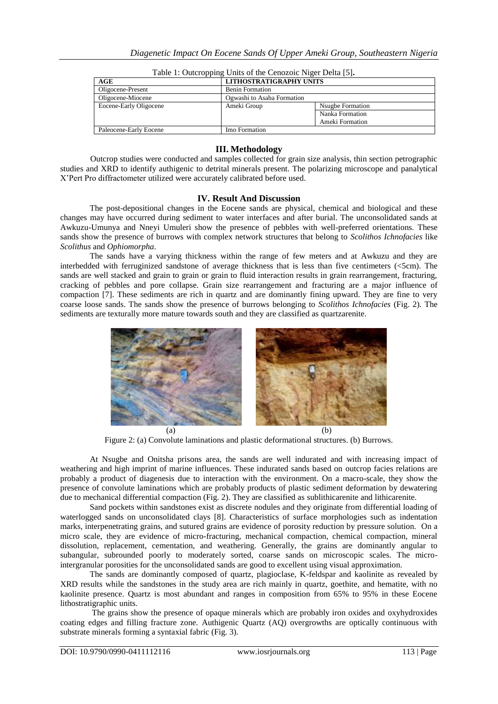| AGE                    | LITHOSTRATIGRAPHY UNITS    |                  |
|------------------------|----------------------------|------------------|
| Oligocene-Present      | <b>Benin Formation</b>     |                  |
| Oligocene-Miocene      | Ogwashi to Asaba Formation |                  |
| Eocene-Early Oligocene | Ameki Group                | Nsugbe Formation |
|                        |                            | Nanka Formation  |
|                        |                            | Ameki Formation  |
| Paleocene-Early Eocene | Imo Formation              |                  |

Table 1: Outcropping Units of the Cenozoic Niger Delta [5]**.**

# **III. Methodology**

Outcrop studies were conducted and samples collected for grain size analysis, thin section petrographic studies and XRD to identify authigenic to detrital minerals present. The polarizing microscope and panalytical X'Pert Pro diffractometer utilized were accurately calibrated before used.

## **IV. Result And Discussion**

The post-depositional changes in the Eocene sands are physical, chemical and biological and these changes may have occurred during sediment to water interfaces and after burial. The unconsolidated sands at Awkuzu-Umunya and Nneyi Umuleri show the presence of pebbles with well-preferred orientations. These sands show the presence of burrows with complex network structures that belong to *Scolithos Ichnofacies* like *Scolithus* and *Ophiomorpha*.

The sands have a varying thickness within the range of few meters and at Awkuzu and they are interbedded with ferruginized sandstone of average thickness that is less than five centimeters (<5cm). The sands are well stacked and grain to grain or grain to fluid interaction results in grain rearrangement, fracturing, cracking of pebbles and pore collapse. Grain size rearrangement and fracturing are a major influence of compaction [7]. These sediments are rich in quartz and are dominantly fining upward. They are fine to very coarse loose sands. The sands show the presence of burrows belonging to *Scolithos Ichnofacies* (Fig. 2)*.* The sediments are texturally more mature towards south and they are classified as quartzarenite.



Figure 2: (a) Convolute laminations and plastic deformational structures. (b) Burrows.

At Nsugbe and Onitsha prisons area, the sands are well indurated and with increasing impact of weathering and high imprint of marine influences. These indurated sands based on outcrop facies relations are probably a product of diagenesis due to interaction with the environment. On a macro-scale, they show the presence of convolute laminations which are probably products of plastic sediment deformation by dewatering due to mechanical differential compaction (Fig. 2). They are classified as sublithicarenite and lithicarenite.

Sand pockets within sandstones exist as discrete nodules and they originate from differential loading of waterlogged sands on unconsolidated clays [8]. Characteristics of surface morphologies such as indentation marks, interpenetrating grains, and sutured grains are evidence of porosity reduction by pressure solution. On a micro scale, they are evidence of micro-fracturing, mechanical compaction, chemical compaction, mineral dissolution, replacement, cementation, and weathering. Generally, the grains are dominantly angular to subangular, subrounded poorly to moderately sorted, coarse sands on microscopic scales. The microintergranular porosities for the unconsolidated sands are good to excellent using visual approximation.

The sands are dominantly composed of quartz, plagioclase, K-feldspar and kaolinite as revealed by XRD results while the sandstones in the study area are rich mainly in quartz, goethite, and hematite, with no kaolinite presence. Quartz is most abundant and ranges in composition from 65% to 95% in these Eocene lithostratigraphic units.

The grains show the presence of opaque minerals which are probably iron oxides and oxyhydroxides coating edges and filling fracture zone. Authigenic Quartz (AQ) overgrowths are optically continuous with substrate minerals forming a syntaxial fabric (Fig. 3).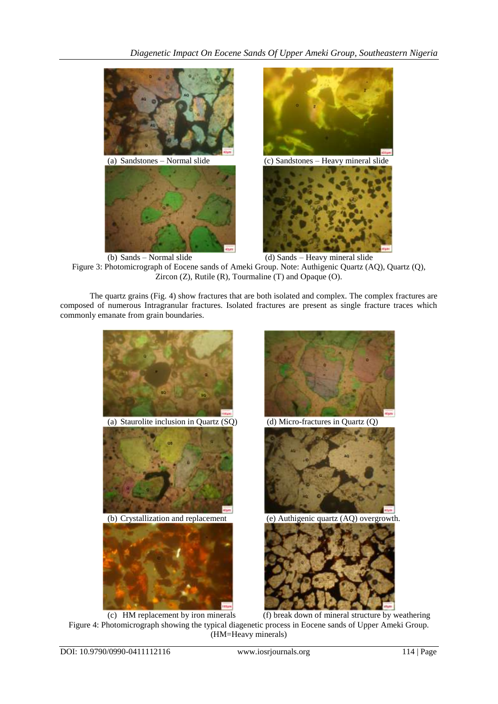



(b) Sands – Normal slide (d) Sands – Heavy mineral slide Figure 3: Photomicrograph of Eocene sands of Ameki Group. Note: Authigenic Quartz (AQ), Quartz (Q), Zircon (Z), Rutile (R), Tourmaline (T) and Opaque (O).

The quartz grains (Fig. 4) show fractures that are both isolated and complex. The complex fractures are composed of numerous Intragranular fractures. Isolated fractures are present as single fracture traces which commonly emanate from grain boundaries.



(c) HM replacement by iron minerals (f) break down of mineral structure by weathering Figure 4: Photomicrograph showing the typical diagenetic process in Eocene sands of Upper Ameki Group. (HM=Heavy minerals)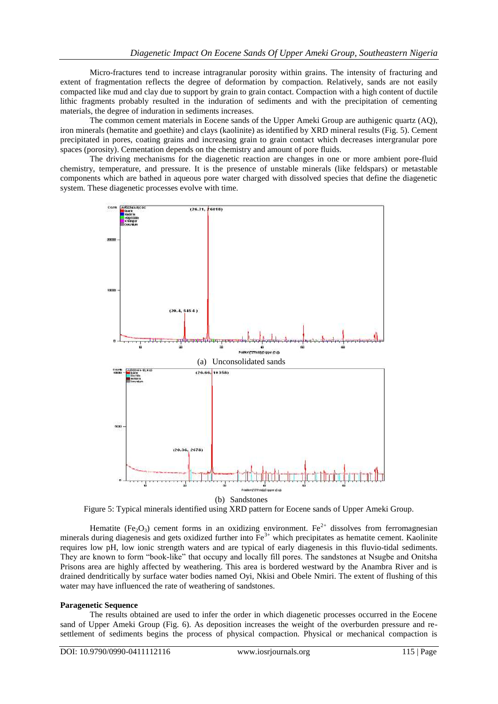Micro-fractures tend to increase intragranular porosity within grains. The intensity of fracturing and extent of fragmentation reflects the degree of deformation by compaction. Relatively, sands are not easily compacted like mud and clay due to support by grain to grain contact. Compaction with a high content of ductile lithic fragments probably resulted in the induration of sediments and with the precipitation of cementing materials, the degree of induration in sediments increases.

The common cement materials in Eocene sands of the Upper Ameki Group are authigenic quartz (AQ), iron minerals (hematite and goethite) and clays (kaolinite) as identified by XRD mineral results (Fig. 5). Cement precipitated in pores, coating grains and increasing grain to grain contact which decreases intergranular pore spaces (porosity). Cementation depends on the chemistry and amount of pore fluids.

The driving mechanisms for the diagenetic reaction are changes in one or more ambient pore-fluid chemistry, temperature, and pressure. It is the presence of unstable minerals (like feldspars) or metastable components which are bathed in aqueous pore water charged with dissolved species that define the diagenetic system. These diagenetic processes evolve with time.



Figure 5: Typical minerals identified using XRD pattern for Eocene sands of Upper Ameki Group.

Hematite (Fe<sub>2</sub>O<sub>3</sub>) cement forms in an oxidizing environment. Fe<sup>2+</sup> dissolves from ferromagnesian minerals during diagenesis and gets oxidized further into  $Fe^{3+}$  which precipitates as hematite cement. Kaolinite requires low pH, low ionic strength waters and are typical of early diagenesis in this fluvio-tidal sediments. They are known to form "book-like" that occupy and locally fill pores. The sandstones at Nsugbe and Onitsha Prisons area are highly affected by weathering. This area is bordered westward by the Anambra River and is drained dendritically by surface water bodies named Oyi, Nkisi and Obele Nmiri. The extent of flushing of this water may have influenced the rate of weathering of sandstones.

#### **Paragenetic Sequence**

The results obtained are used to infer the order in which diagenetic processes occurred in the Eocene sand of Upper Ameki Group (Fig. 6). As deposition increases the weight of the overburden pressure and resettlement of sediments begins the process of physical compaction. Physical or mechanical compaction is